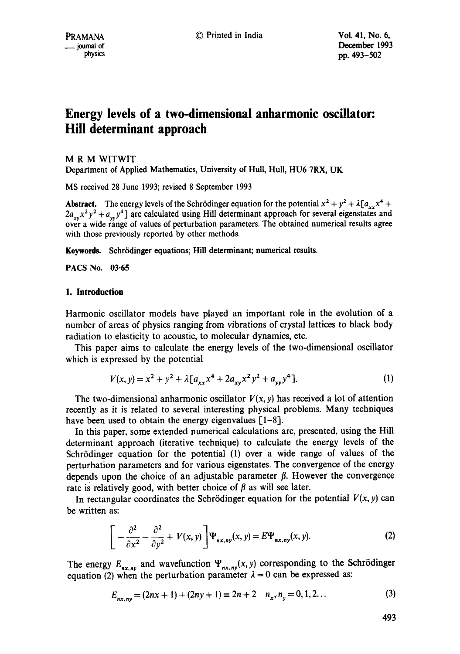# **Energy levels of a two-dimensional anharmonic oscillator: Hill determinant approach**

# M R M WITWIT

Department of Applied Mathematics, University of Hull, Hull, HU6 7RX, UK

MS received 28 June 1993; revised 8 September 1993

**Abstract.** The energy levels of the Schrödinger equation for the potential  $x^2 + y^2 + \lambda [a_{xx}x^4 + b_{xx}b_{xx}b_{xx} + b_{xx}b_{xx}b_{xx}b_{xx}]$  $2a_{xy}x^2y^2 + a_{yy}y^4$  are calculated using Hill determinant approach for several eigenstates and over a wide range of values of perturbation parameters. The obtained numerical results agree with those previously reported by other methods.

Keywords. Schrödinger equations; Hill determinant; numerical results.

**PACS No. 03-65** 

# **1. Introduction**

Harmonic oscillator models have played an important role in the evolution of a number of areas of physics ranging from vibrations of crystal lattices to black body radiation to elasticity to acoustic, to molecular dynamics, etc.

This paper aims to calculate the energy levels of the two-dimensional oscillator which is expressed by the potential

$$
V(x, y) = x2 + y2 + \lambda [axxx4 + 2axyx2y2 + ayyy4].
$$
 (1)

The two-dimensional anharmonic oscillator  $V(x, y)$  has received a lot of attention recently as it is related to several interesting physical problems. Many techniques have been used to obtain the energy eigenvalues [1-8].

In this paper, some extended numerical calculations are, presented, using the Hill determinant approach (iterative technique) to calculate the energy levels of the Schrödinger equation for the potential (1) over a wide range of values of the perturbation parameters and for various eigenstates. The convergence of the energy depends upon the choice of an adjustable parameter  $\beta$ . However the convergence rate is relatively good, with better choice of  $\beta$  as will see later.

In rectangular coordinates the Schrödinger equation for the potential  $V(x, y)$  can be written as:

$$
\left[-\frac{\partial^2}{\partial x^2} - \frac{\partial^2}{\partial y^2} + V(x, y)\right] \Psi_{nx, ny}(x, y) = E \Psi_{nx, ny}(x, y). \tag{2}
$$

The energy  $E_{nx,ny}$  and wavefunction  $\Psi_{nx,ny}(x,y)$  corresponding to the Schrödinger equation (2) when the perturbation parameter  $\lambda = 0$  can be expressed as:

$$
E_{nx, ny} = (2nx + 1) + (2ny + 1) \equiv 2n + 2 \quad n_x, n_y = 0, 1, 2... \tag{3}
$$

493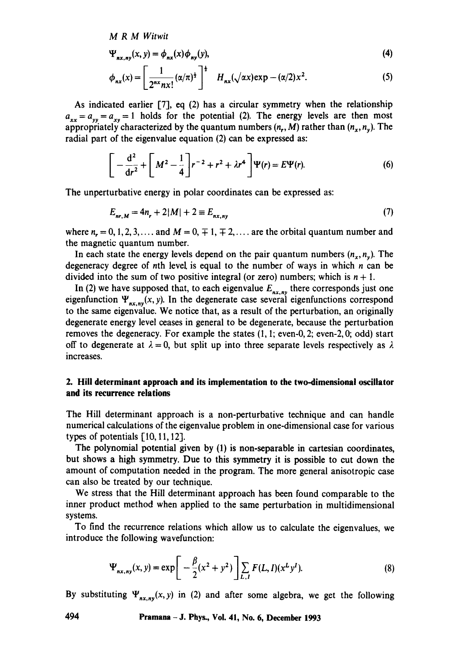*M R M Witwit* 

$$
\Psi_{nx, ny}(x, y) = \phi_{nx}(x)\phi_{ny}(y),\tag{4}
$$

$$
\phi_{nx}(x) = \left[\frac{1}{2^{nx}nx!}(\alpha/\pi)^{\frac{1}{2}}\right]^{\frac{1}{2}} H_{nx}(\sqrt{\alpha x})\exp(-(\alpha/2)x^2). \tag{5}
$$

As indicated earlier  $[7]$ , eq  $(2)$  has a circular symmetry when the relationship  $a_{xx} = a_{yy} = a_{xy} = 1$  holds for the potential (2). The energy levels are then most appropriately characterized by the quantum numbers  $(n_r, M)$  rather than  $(n_x, n_y)$ . The radial part of the eigenvalue equation (2) can be expressed as:

$$
\left[ -\frac{d^2}{dr^2} + \left[ M^2 - \frac{1}{4} \right] r^{-2} + r^2 + \lambda r^4 \right] \Psi(r) = E \Psi(r). \tag{6}
$$

The unperturbative energy in polar coordinates can be expressed as:

$$
E_{nr,M} = 4n_r + 2|M| + 2 \equiv E_{nx,ny}
$$
\n(7)

where  $n_r = 0, 1, 2, 3, \ldots$  and  $M = 0, \pm 1, \pm 2, \ldots$  are the orbital quantum number and the magnetic quantum number.

In each state the energy levels depend on the pair quantum numbers  $(n_x, n_y)$ . The degeneracy degree of nth level, is equal to the number of ways in which  $n$  can be divided into the sum of two positive integral (or zero) numbers; which is  $n + 1$ .

In (2) we have supposed that, to each eigenvalue  $E_{n x, n y}$  there corresponds just one eigenfunction  $\Psi_{n x, n y}(x, y)$ . In the degenerate case several eigenfunctions correspond to the same eigenvalue, We notice that, as a result of the perturbation, an originally degenerate energy level ceases in general to be degenerate, because the perturbation removes the degeneracy. For example the states (1, 1; even-0, 2; even-2, 0; odd) start off to degenerate at  $\lambda = 0$ , but split up into three separate levels respectively as  $\lambda$ increases.

# **2. Hill determinant approach and its implementation to the two-dimensional oscillator and its recurrence relations**

The Hill determinant approach is a non-perturbative technique and can handle numerical calculations of the eigenvalue problem in one-dimensional case for various types of potentials [10, 11, 12].

The polynomial potential given by (1) is non-separable in cartesian coordinates, but shows a high symmetry. Due to this symmetry it is possible to cut down the amount of computation needed in the program. The more general anisotropic case can also be treated by our technique.

We stress that the Hill determinant approach has been found comparable to the inner product method when applied to the same perturbation in multidimensional systems.

To find the recurrence relations which allow us to calculate the eigenvalues, we introduce the following wavefunction:

$$
\Psi_{nx,ny}(x,y) = \exp\bigg[-\frac{\beta}{2}(x^2+y^2)\bigg]\sum_{L,I} F(L,I)(x^Ly^I). \tag{8}
$$

By substituting  $\Psi_{nx,ny}(x, y)$  in (2) and after some algebra, we get the following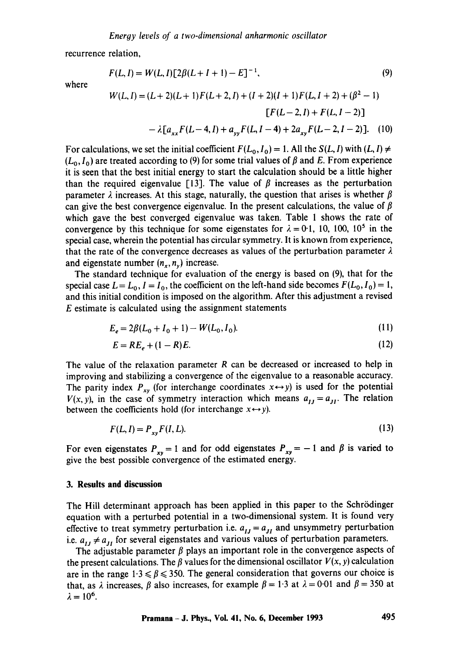recurrence relation,

$$
F(L, I) = W(L, I)[2\beta(L + I + 1) - E]^{-1},
$$
\n(9)

where

$$
W(L, I) = (L+2)(L+1)F(L+2, I) + (I+2)(I+1)F(L, I+2) + (\beta^2 - 1)
$$
  
\n
$$
[F(L-2, I) + F(L, I-2)]
$$
  
\n
$$
- \lambda [a_{xx}F(L-4, I) + a_{yy}F(L, I-4) + 2a_{xy}F(L-2, I-2)].
$$
 (10)

For calculations, we set the initial coefficient  $F(L_0, I_0) = 1$ . All the  $S(L, I)$  with  $(L, I) \neq$  $(L_0, I_0)$  are treated according to (9) for some trial values of  $\beta$  and E. From experience it is seen that the best initial energy to start the calculation should be a little higher than the required eigenvalue [13]. The value of  $\beta$  increases as the perturbation parameter  $\lambda$  increases. At this stage, naturally, the question that arises is whether  $\beta$ can give the best convergence eigenvalue. In the present calculations, the value of  $\beta$ which gave the best converged eigenvalue was taken. Table 1 shows the rate of convergence by this technique for some eigenstates for  $\lambda = 0.1$ , 10, 100, 10<sup>5</sup> in the special case, wherein the potential has circular symmetry. It is known from experience, that the rate of the convergence decreases as values of the perturbation parameter  $\lambda$ and eigenstate number  $(n_r, n_y)$  increase.

The standard technique for evaluation of the energy is based on (9), that for the special case  $L = L_0$ ,  $I = I_0$ , the coefficient on the left-hand side becomes  $F(L_0, I_0) = 1$ , and this initial condition is imposed on the algorithm. After this adjustment a revised E estimate is calculated using the assignment statements

$$
E_e = 2\beta (L_0 + I_0 + 1) - W(L_0, I_0).
$$
\n(11)

$$
E = RE_e + (1 - R)E. \tag{12}
$$

The value of the relaxation parameter  $R$  can be decreased or increased to help in improving and stabilizing a convergence of the eigenvalue to a reasonable accuracy. The parity index  $P_{xy}$  (for interchange coordinates  $x \leftrightarrow y$ ) is used for the potential  $V(x, y)$ , in the case of symmetry interaction which means  $a_{IJ} = a_{JI}$ . The relation between the coefficients hold (for interchange  $x \leftrightarrow y$ ).

$$
F(L, I) = P_{xy} F(I, L). \tag{13}
$$

For even eigenstates  $P_{xy} = 1$  and for odd eigenstates  $P_{xy} = -1$  and  $\beta$  is varied to give the best possible convergence of the estimated energy.

## **3. Results and discussion**

The Hill determinant approach has been applied in this paper to the Schrödinger equation with a perturbed potential in a two-dimensional system. It is found very effective to treat symmetry perturbation i.e.  $a_{IJ} = a_{JI}$  and unsymmetry perturbation i.e.  $a_{IJ} \neq a_{JI}$  for several eigenstates and various values of perturbation parameters.

The adjustable parameter  $\beta$  plays an important role in the convergence aspects of the present calculations. The  $\beta$  values for the dimensional oscillator  $V(x, y)$  calculation are in the range  $1.3 \le \beta \le 350$ . The general consideration that governs our choice is that, as  $\lambda$  increases,  $\beta$  also increases, for example  $\beta = 1.3$  at  $\lambda = 0.01$  and  $\beta = 350$  at  $\lambda = 10^6$ .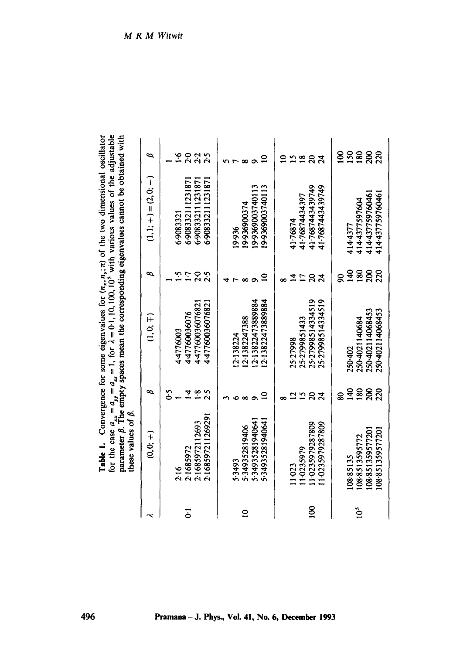| <b>Table 1.</b> Convergence for some eigenvalues for $(n_x, n_y; \pi)$ of the two dimensional oscillator | for the case $a_{xx} = a_{yy} = a_{zz} = 1$ , for $\lambda = 0.1, 10, 100, 10^5$ with various values of the adjustable parameter $\beta$ . The empty spaces mean the corresponding eigenvalues cannot be obtained with | these values of $\beta$ . |
|----------------------------------------------------------------------------------------------------------|------------------------------------------------------------------------------------------------------------------------------------------------------------------------------------------------------------------------|---------------------------|

|                | $_{\rm LDCSC}$ values of $\rho$ . |                |                   |                      |                         |                  |
|----------------|-----------------------------------|----------------|-------------------|----------------------|-------------------------|------------------|
|                | $(0, 0; +)$                       | $\mathfrak{p}$ | (1, 0; 4)         | $\boldsymbol{\beta}$ | $(1, 1; +) = (2, 0; -)$ | ⋍                |
|                | 2.16                              | δ              | 44776003          | ဢ                    | 6.9083321               | ع                |
| تة             | 2.1685972                         | Ā              | 4-47760036076     | F-1                  | 6.908332111231871       | 2.3.5            |
|                | 2.1685972112693                   | $\ddot{\cdot}$ | 4.47760036076821  | $20^{\circ}$         | 6.908332111231871       |                  |
|                | 2.16859721126929                  | 2.5            | 4.47760036076821  | 2.5                  | 6.908332111231871       |                  |
|                |                                   |                |                   |                      |                         |                  |
|                | 5.3493                            |                | 12:138224         |                      | 19.936                  |                  |
| $\overline{a}$ | 5-349352819406                    | $\infty$       | 12.1382247388     |                      | 19-936900374            |                  |
|                | 5.3493528194064                   |                | 12.13822473889884 |                      | 19-9369003740113        |                  |
|                | 5-34935281940641                  |                | 12:13822473889884 |                      | 19369003740113          | $\mathbf{S}$     |
|                |                                   |                |                   |                      |                         |                  |
|                | 11023                             |                | 25-27998          |                      | 41.76874                |                  |
|                | 110235979                         | 25             | 25-2799851433     |                      | 41.76874434397          | $\overline{18}$  |
| <u>ឱ</u>       | 11-0235979287809                  | $\Omega$       | 25-27998514334519 | $\Omega$             | 417687443439749         | $\mathfrak{g}$   |
|                | 11-0235979287809                  |                | 25-27998514334519 | $\mathcal{Z}$        | 41.7687443439749        | $\boldsymbol{z}$ |
|                |                                   | ន្ល            |                   |                      |                         | <u>ខ</u>         |
|                | 108-85135                         | $\frac{40}{5}$ | 250-402           | $\frac{40}{5}$       | 4144377                 | 150              |
| $\ddot{0}$     | 1088513595772                     | 180            | 250-4021140684    | 180                  | 4144377597604           | 180              |
|                | 108851359577201                   | $\approx$      | 250-402114068453  | $\approx$            | 414437759760461         | 200              |
|                | 108851359577201                   | 220            | 250-402114068453  | ຂ                    | 414-437759760461        | 220              |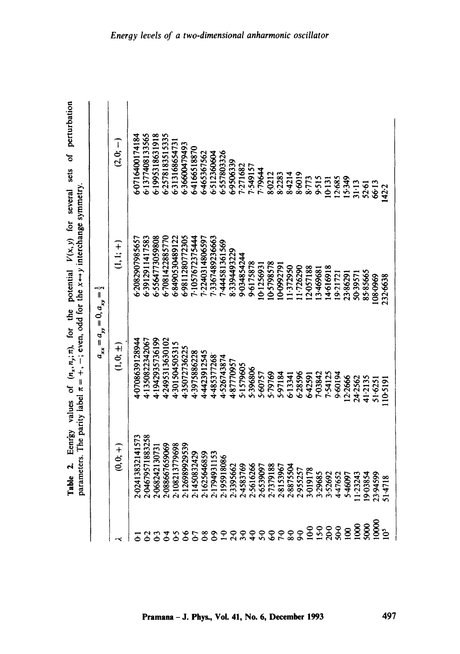|                         | value's<br>rann an Dunisy | 10. (いち・いり) 10.                             | parameters. The parity label $\pi = +$ , $-$ ; even, odd for the $x \leftrightarrow y$ interchange symmetry<br>$\widetilde{\mathcal{E}}$ |                 |
|-------------------------|---------------------------|---------------------------------------------|------------------------------------------------------------------------------------------------------------------------------------------|-----------------|
|                         |                           | $a_{xx} = a_{yy} = 0, a_{xy} = \frac{1}{2}$ |                                                                                                                                          |                 |
| ہر                      | (+ ;)<br>⊖                | $\mathbf{1} \cdot \mathbf{c}$               | $(1, 1; +)$                                                                                                                              | $(2,0; -)$      |
| పె                      | 2:02413832141573          | 1-0708639128944                             | 6.2082907985657                                                                                                                          | 6-0716400174184 |
| $\tilde{c}$             | 2.04679571883258          | 4-1350822342067                             | 6-3912911417583                                                                                                                          | 6-1377408133565 |
| ွာ                      | 2-068242130731            | 4.1942935736199                             | 6-5564773059808                                                                                                                          | 6.1995318631918 |
| $\mathfrak{S}$          | 2-088667659069            | 4-2495313630102                             | 67081422885770                                                                                                                           | 6-2578183515335 |
| $\mathbf{c}$            | 2.108213779698            | 4-301504505315                              | 6-8490530489122                                                                                                                          | 6.313168654731  |
| $\delta$                | 2.126989929539            | 4.35072736225                               | 6.9811280772305                                                                                                                          | 6-36600479493   |
| 5                       | 2.1450832429              | 4.3975886228                                | $-1057672375444$                                                                                                                         | 6.4166518870    |
| $\frac{8}{9}$           | 2-1625646859              | 4.4423912545                                | $-2240314806597$                                                                                                                         | 6-465367562     |
| န္                      | 2.1794931153              | 4.485377268                                 | 13367489236663                                                                                                                           | 6.512360604     |
| $\mathbf{S}$            | 2.195918086               | 4.526743874                                 | 1-444581361569                                                                                                                           | 6.557803326     |
| 20                      | 2.3395662                 | 487770957                                   | 8.3394493229                                                                                                                             | 6.9506339       |
| ٩                       | 2.4583769                 | 5.1579605                                   | 9-034854244                                                                                                                              | 7.271682        |
| $\ddot{•}$              | 2.5616266                 | 5.396806                                    | 9-6175878                                                                                                                                | 1.549157        |
| 50                      | 2.6539097                 | 5.60757                                     | 10-1256931                                                                                                                               | <b>19644</b>    |
| $\mathbf{c}$            | 2.7379188                 | 5.79769                                     | 0.5798578                                                                                                                                | 8.0212          |
| $\tilde{C}$             | 2.8153967                 | 5.97184                                     | 10-0992791                                                                                                                               | 8.2283          |
| $\overline{\mathbf{6}}$ | 2.8875504                 | 613341                                      | 1.372950                                                                                                                                 | 8.4214          |
| $\overline{6}$          | 2.955257                  | 6.28596                                     | 1.726290                                                                                                                                 | 8.6019          |
| 60                      | 3.019178                  | 6.42591                                     | 2-057188                                                                                                                                 | 8.773           |
| $5-0$                   | 3.29685                   | 7-03842                                     | 3.469681                                                                                                                                 | 9.515           |
| 20-0                    | 3.52692                   | 7.54125                                     | 4-616918                                                                                                                                 | 10.131          |
| $50-0$                  | 4.47652                   | 9.6194                                      | 9.21721                                                                                                                                  | 12.685          |
| $\overline{8}$          | 5.46097                   | 2.2666                                      | 23.86291                                                                                                                                 | 15.349          |
| 8                       | 1.23243                   | 24.2562                                     | 50.3957                                                                                                                                  | 31:13           |
| <b>SOOO</b>             | 9.03854                   | 41.2135                                     | 85-85665                                                                                                                                 | 52.61           |
| 10000                   | 23-94599                  | 51.6251                                     | 108.0969                                                                                                                                 | 66.13           |
| $\ddot{\circ}$          | 51.4718                   | 110-5191                                    | 232.6638                                                                                                                                 | 142.2           |

Table 2. Eenr'gy values of (n~,ny;n), for the potential *V(x,y)* for several sets of perturbation for the potential  $V(x, y)$  for several sets of perturbation  $,n_{\nu};n_{\nu}$  $\mathfrak{E}$ Table 2. Eenrgy values of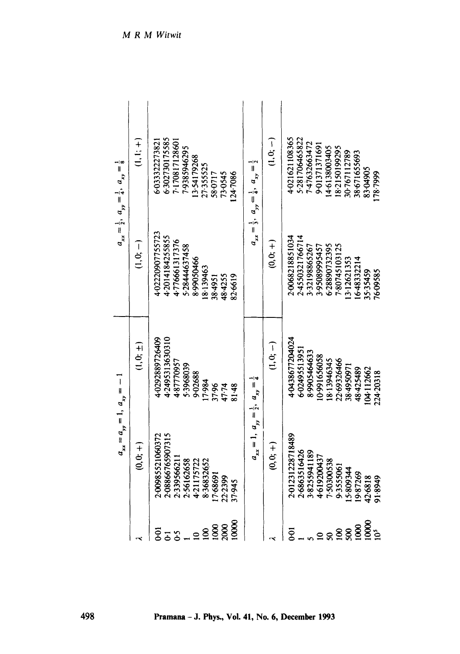| $a_{xx} = \frac{1}{2}, a_{yy} = \frac{1}{4}, a_{xy} = \frac{1}{8}$<br>$a_{xx} = a_{yy} = 1, a_{xy} = -1$ | (+ :i<br>$\overline{\mathsf{L}}$ . $\mathsf{G}$<br>$\begin{pmatrix} \pm \ 1 \end{pmatrix}$ | 6.302730175585<br>7.170817128601<br>6.033322273821<br>7.9385946295<br>3-54179268<br>27.355525<br>58.0717<br>73-0545<br>124.7086<br>4-02220907755723<br>4-2014184255855<br>4.776661317376<br>5-28444637458<br>8.99050466<br>8.139463<br>48.4255<br>82.6619<br>38.4951<br>4.2495313630310<br>4-0292889726409<br>5.3968039<br>9.02688 | $a_{xx} = \frac{1}{2}, a_{yy} = \frac{1}{4}, a_{xy} = \frac{1}{2}$ | 「ごご<br>$(0, 0; +)$<br>(<br>・・・・・・・・・・・・・・・ ) | 4-021621108365<br>5-281706465822<br>1.47632663472<br>9-01371371691<br>4.6138003405<br>18-2150199295<br>30.767112789<br>38.671655693<br>20068218851034<br>2.4550321766714<br>6.28890732395<br>7-80745103125<br>3-32198865267<br>3-95089995457<br>3.12621353<br>4-0438677204024<br>6-02495513951 | 83-04905<br>35.35459  |
|----------------------------------------------------------------------------------------------------------|--------------------------------------------------------------------------------------------|------------------------------------------------------------------------------------------------------------------------------------------------------------------------------------------------------------------------------------------------------------------------------------------------------------------------------------|--------------------------------------------------------------------|----------------------------------------------|------------------------------------------------------------------------------------------------------------------------------------------------------------------------------------------------------------------------------------------------------------------------------------------------|-----------------------|
|                                                                                                          |                                                                                            | 4.87770957<br>17-984<br>37.96<br>81.48<br>47.74                                                                                                                                                                                                                                                                                    |                                                                    |                                              | 6-48332214<br>8.9905464633<br>0.991656058<br>8.13946345<br>22-69326466<br>38-4950971<br>48.425489<br>104-112662                                                                                                                                                                                | 76.09585<br>224-20318 |
|                                                                                                          | $6.07 +$                                                                                   | 2-08866765907315<br>2:00985521060372<br>2.339566211<br>2.56162658<br>4.21175722<br>8.36832652<br>7.68691<br>22.2399<br>37.945                                                                                                                                                                                                      | $a_{xx} = 1, a_{yy} = \frac{1}{2}, a_{xy} = \frac{1}{4}$           | $\begin{pmatrix} 1 \ 1 \ 0 \end{pmatrix}$    | 201231228718489<br>2-6863516426<br>3-8255941189<br>4.619200437<br>7-50300538<br>9.3555061<br>5-809344<br>19.87269<br>42.6818                                                                                                                                                                   | 6668.16               |
|                                                                                                          |                                                                                            | 10000<br>2000<br>1000<br><b>DO</b><br>$\mathbf{8}$<br>$\mathcal{S}$<br>$\mathbf{a}$<br>5                                                                                                                                                                                                                                           |                                                                    |                                              | 10000<br>1000<br>$\overline{5}$<br>$\mathbf{8}$<br>Ş,<br>$\boldsymbol{\mathcal{S}}$                                                                                                                                                                                                            | $\frac{5}{2}$         |

M R M Witwit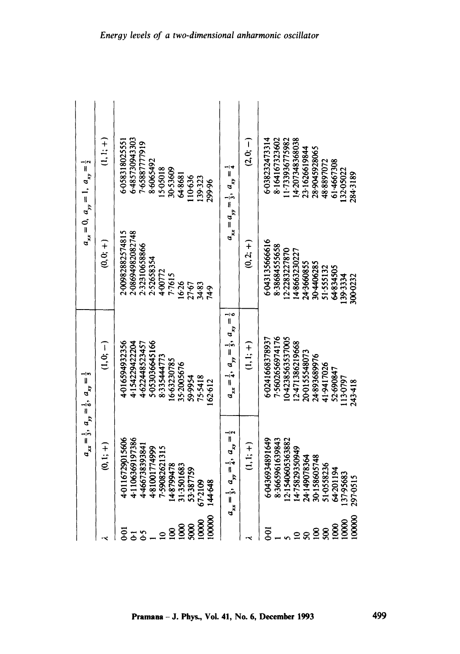| $a_{xx} = 0$ , $a_{yy} = 1$ , $a_{xy} = \frac{1}{2}$               | $(1,1;+)$     | 6-485730943303<br>5-058318025551<br>0.65887777919<br>8.6065492<br>5.05018<br>30.53609<br>64.8681<br>10-636<br>139.323<br>299.96                       | $a_{xx} = a_{yy} = \frac{1}{3}, a_{xy} = \frac{1}{4}$              | ြ<br>(2,6;                                     | 6-038232473314<br>4.207348368038<br>8.164167323602<br>1:733936775982<br>23-1626619844<br>28.9045928065<br>61-4667308<br>48-8897072<br>13205022<br>2843189  |
|--------------------------------------------------------------------|---------------|-------------------------------------------------------------------------------------------------------------------------------------------------------|--------------------------------------------------------------------|------------------------------------------------|------------------------------------------------------------------------------------------------------------------------------------------------------------|
|                                                                    | (+ ö;         | 2.00982882574815<br>2-08694982082748<br>2.32310658866<br>2.52658354<br>4-00772<br>7.7615<br>16.26<br>27.67<br>34.83<br>74.9                           |                                                                    | $(0,2;+)$                                      | 6-043135666616<br>8.38684555658<br>2.2283227870<br>48663230227<br>24.3660855<br>30-4406285<br>64-834505<br>51.555132<br>139.3334<br>300.0232               |
|                                                                    | $\frac{1}{2}$ | 4-016594932356<br>5-053036645166<br>4-154229422204<br>4.622448523457<br>8.335444773<br>16.63230785<br>35-2005676<br>75.5418<br>59.9954<br>162.612     | $a_{xx} = \frac{1}{4}, a_{yy} = \frac{1}{5}, a_{xy} = \frac{1}{6}$ | $\begin{pmatrix} + & 1 \\ - & - \end{pmatrix}$ | 7.5602656974176<br>0.423856357005<br>6.0241668378937<br>12:471386219668<br>20-0155548073<br>24-893689976<br>41.9417026<br>52.690847<br>113.0797<br>243-418 |
| $a_{xx} = \frac{1}{3}, a_{yy} = \frac{1}{6}, a_{xy} = \frac{1}{5}$ | $(0,1;+)$     | 4-0116729015606<br>4.1106369197386<br>4-466738393841<br>4.81001774999<br>7-59082621315<br>14.8799478<br>31.3501683<br>53-387759<br>144.648<br>67.2109 | $a_{xx} = \frac{1}{2}, a_{yy} = \frac{1}{4}, a_{xy} = \frac{1}{2}$ | $(1,1;+)$                                      | 6-0436934891649<br>8-3665961639843<br>2:1540605363882<br>14-75829350949<br>30.158605748<br>24149078364<br>51-0558236<br>64.201194<br>13795683<br>297-0515  |
|                                                                    |               | 10000<br>10000<br>1000<br>5000<br>$\mathbf{8}$<br>ā<br>$\mathfrak{S}$<br>$\overline{5}$<br>$\mathbf{a}$                                               |                                                                    |                                                | 100000<br>10000<br>1000<br>5e<br>$\mathbf{8}$<br>500<br>$\mathbf{a}$<br>$\boldsymbol{S}$                                                                   |

**4~**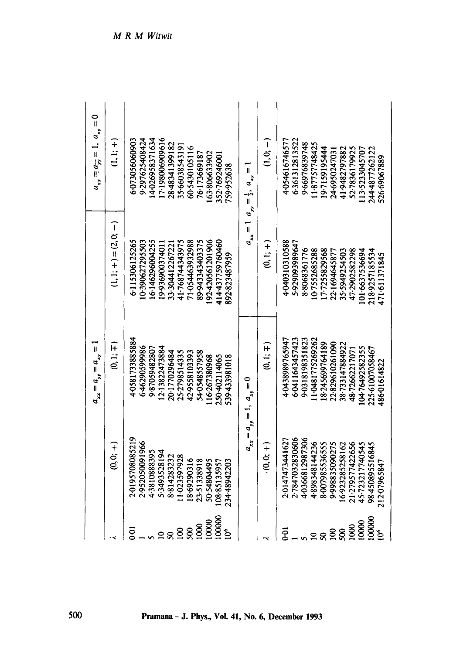|                        |                          | $a_{xx} = a_{yy} = a_{xy} = 0$    |                         | $a_{xx} = a_{yy} = 1, a_{xy} = 0$  |
|------------------------|--------------------------|-----------------------------------|-------------------------|------------------------------------|
|                        | (+<br>⊖ູ່<br>©ົ          | (4 :1)                            | $(1, i; 4) = (2, 6, 1)$ | (+ :i,                             |
| 6-01                   | 2-0195708085219          | 4-0581733885884                   | 6.115306125265          | 6073056060903                      |
|                        | 2.952050091966           | 6.4629059986                      | 10390627295503          | 9.297625408424                     |
|                        | 4.3810888395             | 987059482807                      | 16.146296004255         | 4-026958371634                     |
| $\overline{a}$         | 5-3493528194             | 12.13822473884                    | 19-93690037401          | 17-198006909616                    |
| 50                     | 8814283232               | 20.1770296484                     | 33.304412267221         | 28.48341399182                     |
| $\mathbf{8}$           | 1.023597928              | 25-2798514335                     | 41.768744343975         | 35.6603854319                      |
| 500                    | 8.69290316               | 42.9558103393                     | 71-054463932988         | 60-5430105116                      |
| 1000                   | 23-51338918              | 54-0548557958                     | 89-943343403375         | 76.173669187                       |
| 10000                  | 50.54804495              | 16267380968                       | 192.420561201906        | 63.806633902                       |
| 100000                 | 108.85135957             | 250-402114065                     | 414-437759760460        | 352.769246001                      |
| 10 <sup>6</sup>        | 234-48942203             | 539-433981018                     | 892823487959            | 759.952638                         |
|                        |                          | $a_{xx} = a_{yy} = 1, a_{xy} = 0$ | $a_{xx}$                | $a_{yy} = \frac{1}{2}, a_{xy} = 1$ |
|                        | $\frac{1}{2}$ (0, 0, $+$ | (0,1;∓)                           | (+ :i)                  | <br>ごご                             |
| $\overline{6}$         | 2.014747344162           | 4-0438989765947                   | 4.040310310588          | 4054616746577                      |
|                        | 2.7847032830606          | 6.0411643457423                   | 5-929093989647          | 6.361312813522                     |
|                        | 40366812987306           | 9-0318198351823                   | 88068361776             | 9.66976839748                      |
| $\mathbf{a}$           | 4.898348144236           | 1.0481775269262                   | 10-7552685288           | 1187757748425                      |
| $\overline{50}$        | 8.007985536555           | 18.245699764189                   | 17-7255829568           | 19-7159195444                      |
| $\mathbf{5}$           | 9.998835090275           | 22829610261090                    | 22.169464587            | 24-695024703                       |
| Ş,                     | 16.923285258162          | 38-733147884922                   | 35.5949254503           | 41.9482797882                      |
| 1000                   | 21-279577422656          | 48-72662217071                    | 47-2902582298           | 52-7836179925                      |
| 10000                  | 45-723217740545          | 10476492582355                    | 101-6637536694          | 113-5233045707                     |
| 100001                 | 98-450895516845          | 225.61007058467                   | 218-9257185534          | 244-4877262122                     |
| $\overline{0}^{\circ}$ | 212-0796584              | 486-01614822                      | 471.611371845           | 526.69067889                       |
|                        |                          |                                   |                         |                                    |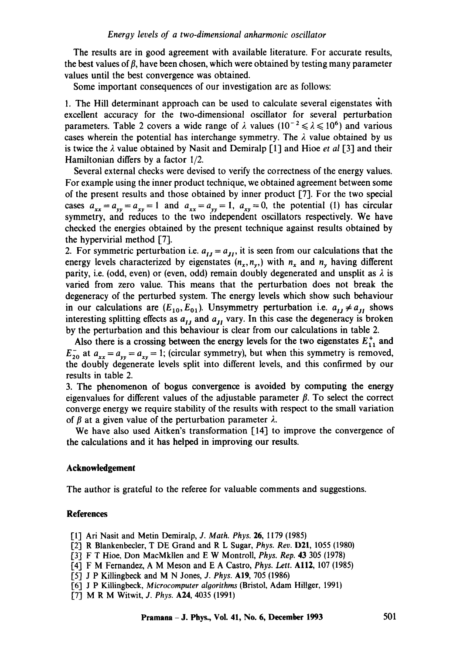The results are in good agreement with available literature. For accurate results, the best values of  $\beta$ , have been chosen, which were obtained by testing many parameter values until the best convergence was obtained.

Some important consequences of our investigation are as follows:

1. The Hill determinant approach can be used to calculate several eigenstates with excellent accuracy for the two-dimensional oscillator for several perturbation parameters. Table 2 covers a wide range of  $\lambda$  values  $(10^{-2} \le \lambda \le 10^{6})$  and various cases wherein the potential has interchange symmetry. The  $\lambda$  value obtained by us is twice the  $\lambda$  value obtained by Nasit and Demiralp [1] and Hioe *et al* [3] and their Hamiltonian differs by a factor 1/2.

Several external checks were devised to verify the correctness of the energy values. For example using the inner product technique, we obtained agreement between some of the present results and those obtained by inner product [7]. For the two special cases  $a_{xx} = a_{yy} = a_{xy} = 1$  and  $a_{xx} = a_{yy} = 1$ ,  $a_{xy} = 0$ , the potential (1) has circular symmetry, and reduces to the two independent oscillators respectively. We have checked the energies obtained by the present technique against results obtained by the hypervirial method [7].

2. For symmetric perturbation i.e.  $a_{IJ} = a_{IJ}$ , it is seen from our calculations that the energy levels characterized by eigenstates  $(n_x, n_y)$  with  $n_x$  and  $n_y$  having different parity, i.e. (odd, even) or (even, odd) remain doubly degenerated and unsplit as  $\lambda$  is varied from zero value. This means that the perturbation does not break the degeneracy of the perturbed system. The energy levels which show such behaviour in our calculations are  $(E_{10}, E_{01})$ . Unsymmetry perturbation i.e.  $a_{11} \neq a_{11}$  shows interesting splitting effects as  $a_{IJ}$  and  $a_{JI}$  vary. In this case the degeneracy is broken by the perturbation and this behaviour is clear from our calculations in table 2.

Also there is a crossing between the energy levels for the two eigenstates  $E_{11}^{+}$  and  $E_{20}^-$  at  $a_{xx} = a_{yy} = a_{xy} = 1$ ; (circular symmetry), but when this symmetry is removed, the doubly degenerate levels split into different levels, and this confirmed by our results in table 2.

3. The phenomenon of bogus convergence is avoided by computing the energy eigenvalues for different values of the adjustable parameter  $\beta$ . To select the correct converge energy we require stability of the results with respect to the small variation of  $\beta$  at a given value of the perturbation parameter  $\lambda$ .

We have also used Aitken's transformation [14] to improve the convergence of the calculations and it has helped in improving our results.

# **Acknowledgement**

The author is grateful to the referee for valuable comments and suggestions.

#### **References**

- [1] Ari Nasit and Metin Demiralp, *J. Math. Phys.* 26, 1179 (1985)
- [2] R Blankenbecler, T DE Grand and R L Sugar, *Phys. Rev. D21*, 1055 (1980)
- [3] F T Hioe, Don MacMkllen and E W Montroll, *Phys. Rep.* 43 305 (1978)
- [4] F M Fernandez, A M Meson and E A Castro, *Phys. Lett.* All2, 107 (1985)
- [5] J P Killingbeck and M N Jones, *J. Phys.* AIg, 705 (1986)
- [6-1 J P Killingbeck, *Microcomputer aloorithms* (Bristol, Adam Hillger, 1991)
- [7] M R M Witwit, *J. Phys.* A24, 4035 (1991)